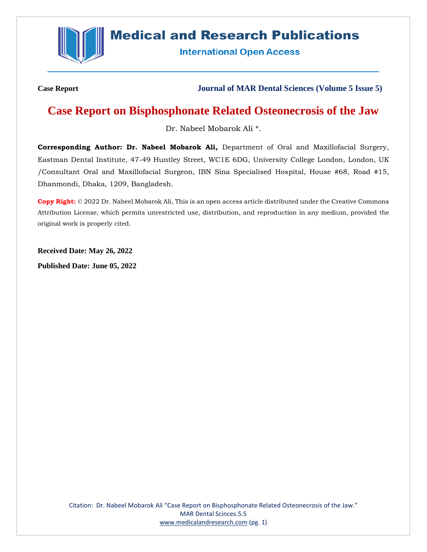

# **Medical and Research Publications**

**International Open Access** 

**Case Report Journal of MAR Dental Sciences (Volume 5 Issue 5)**

# **Case Report on Bisphosphonate Related Osteonecrosis of the Jaw**

Dr. Nabeel Mobarok Ali \*.

**Corresponding Author: Dr. Nabeel Mobarok Ali,** Department of Oral and Maxillofacial Surgery, Eastman Dental Institute, 47-49 Huntley Street, WC1E 6DG, University College London, London, UK /Consultant Oral and Maxillofacial Surgeon, IBN Sina Specialised Hospital, House #68, Road #15, Dhanmondi, Dhaka, 1209, Bangladesh.

**Copy Right:** © 2022 Dr. Nabeel Mobarok Ali, This is an open access article distributed under the Creative Commons Attribution License, which permits unrestricted use, distribution, and reproduction in any medium, provided the original work is properly cited.

**Received Date: May 26, 2022**

**Published Date: June 05, 2022**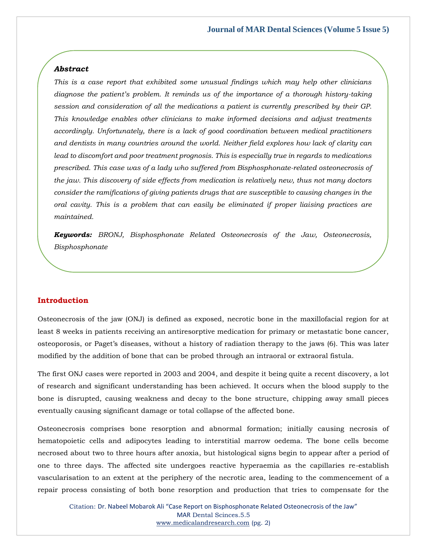#### *Abstract*

*This is a case report that exhibited some unusual findings which may help other clinicians diagnose the patient's problem. It reminds us of the importance of a thorough history-taking session and consideration of all the medications a patient is currently prescribed by their GP. This knowledge enables other clinicians to make informed decisions and adjust treatments accordingly. Unfortunately, there is a lack of good coordination between medical practitioners and dentists in many countries around the world. Neither field explores how lack of clarity can lead to discomfort and poor treatment prognosis. This is especially true in regards to medications prescribed. This case was of a lady who suffered from Bisphosphonate-related osteonecrosis of the jaw. This discovery of side effects from medication is relatively new, thus not many doctors consider the ramifications of giving patients drugs that are susceptible to causing changes in the oral cavity. This is a problem that can easily be eliminated if proper liaising practices are maintained.* 

*Keywords: BRONJ, Bisphosphonate Related Osteonecrosis of the Jaw, Osteonecrosis, Bisphosphonate*

#### **Introduction**

Osteonecrosis of the jaw (ONJ) is defined as exposed, necrotic bone in the maxillofacial region for at least 8 weeks in patients receiving an antiresorptive medication for primary or metastatic bone cancer, osteoporosis, or Paget's diseases, without a history of radiation therapy to the jaws (6). This was later modified by the addition of bone that can be probed through an intraoral or extraoral fistula.

The first ONJ cases were reported in 2003 and 2004, and despite it being quite a recent discovery, a lot of research and significant understanding has been achieved. It occurs when the blood supply to the bone is disrupted, causing weakness and decay to the bone structure, chipping away small pieces eventually causing significant damage or total collapse of the affected bone.

Osteonecrosis comprises bone resorption and abnormal formation; initially causing necrosis of hematopoietic cells and adipocytes leading to interstitial marrow oedema. The bone cells become necrosed about two to three hours after anoxia, but histological signs begin to appear after a period of one to three days. The affected site undergoes reactive hyperaemia as the capillaries re-establish vascularisation to an extent at the periphery of the necrotic area, leading to the commencement of a repair process consisting of both bone resorption and production that tries to compensate for the

Citation: Dr. Nabeel Mobarok Ali "Case Report on Bisphosphonate Related Osteonecrosis of the Jaw" MAR Dental Scinces.5.5 [www.medicalandresearch.com](http://www.medicalandresearch.com/) (pg. 2)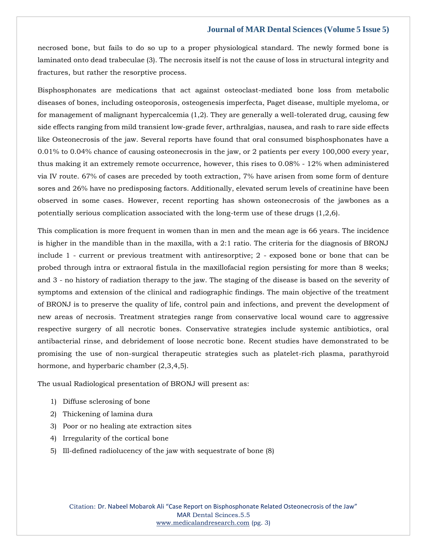necrosed bone, but fails to do so up to a proper physiological standard. The newly formed bone is laminated onto dead trabeculae (3). The necrosis itself is not the cause of loss in structural integrity and fractures, but rather the resorptive process.

Bisphosphonates are medications that act against osteoclast-mediated bone loss from metabolic diseases of bones, including osteoporosis, osteogenesis imperfecta, Paget disease, multiple myeloma, or for management of malignant hypercalcemia (1,2). They are generally a well-tolerated drug, causing few side effects ranging from mild transient low-grade fever, arthralgias, nausea, and rash to rare side effects like Osteonecrosis of the jaw. Several reports have found that oral consumed bisphosphonates have a 0.01% to 0.04% chance of causing osteonecrosis in the jaw, or 2 patients per every 100,000 every year, thus making it an extremely remote occurrence, however, this rises to 0.08% - 12% when administered via IV route. 67% of cases are preceded by tooth extraction, 7% have arisen from some form of denture sores and 26% have no predisposing factors. Additionally, elevated serum levels of creatinine have been observed in some cases. However, recent reporting has shown osteonecrosis of the jawbones as a potentially serious complication associated with the long-term use of these drugs (1,2,6).

This complication is more frequent in women than in men and the mean age is 66 years. The incidence is higher in the mandible than in the maxilla, with a 2:1 ratio. The criteria for the diagnosis of BRONJ include 1 - current or previous treatment with antiresorptive; 2 - exposed bone or bone that can be probed through intra or extraoral fistula in the maxillofacial region persisting for more than 8 weeks; and 3 - no history of radiation therapy to the jaw. The staging of the disease is based on the severity of symptoms and extension of the clinical and radiographic findings. The main objective of the treatment of BRONJ is to preserve the quality of life, control pain and infections, and prevent the development of new areas of necrosis. Treatment strategies range from conservative local wound care to aggressive respective surgery of all necrotic bones. Conservative strategies include systemic antibiotics, oral antibacterial rinse, and debridement of loose necrotic bone. Recent studies have demonstrated to be promising the use of non-surgical therapeutic strategies such as platelet-rich plasma, parathyroid hormone, and hyperbaric chamber (2,3,4,5).

The usual Radiological presentation of BRONJ will present as:

- 1) Diffuse sclerosing of bone
- 2) Thickening of lamina dura
- 3) Poor or no healing ate extraction sites
- 4) Irregularity of the cortical bone
- 5) Ill-defined radiolucency of the jaw with sequestrate of bone (8)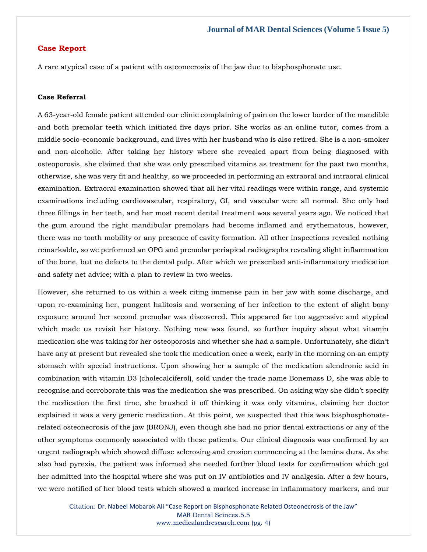## **Case Report**

A rare atypical case of a patient with osteonecrosis of the jaw due to bisphosphonate use.

## **Case Referral**

A 63-year-old female patient attended our clinic complaining of pain on the lower border of the mandible and both premolar teeth which initiated five days prior. She works as an online tutor, comes from a middle socio-economic background, and lives with her husband who is also retired. She is a non-smoker and non-alcoholic. After taking her history where she revealed apart from being diagnosed with osteoporosis, she claimed that she was only prescribed vitamins as treatment for the past two months, otherwise, she was very fit and healthy, so we proceeded in performing an extraoral and intraoral clinical examination. Extraoral examination showed that all her vital readings were within range, and systemic examinations including cardiovascular, respiratory, GI, and vascular were all normal. She only had three fillings in her teeth, and her most recent dental treatment was several years ago. We noticed that the gum around the right mandibular premolars had become inflamed and erythematous, however, there was no tooth mobility or any presence of cavity formation. All other inspections revealed nothing remarkable, so we performed an OPG and premolar periapical radiographs revealing slight inflammation of the bone, but no defects to the dental pulp. After which we prescribed anti-inflammatory medication and safety net advice; with a plan to review in two weeks.

However, she returned to us within a week citing immense pain in her jaw with some discharge, and upon re-examining her, pungent halitosis and worsening of her infection to the extent of slight bony exposure around her second premolar was discovered. This appeared far too aggressive and atypical which made us revisit her history. Nothing new was found, so further inquiry about what vitamin medication she was taking for her osteoporosis and whether she had a sample. Unfortunately, she didn't have any at present but revealed she took the medication once a week, early in the morning on an empty stomach with special instructions. Upon showing her a sample of the medication alendronic acid in combination with vitamin D3 (cholecalciferol), sold under the trade name Bonemass D, she was able to recognise and corroborate this was the medication she was prescribed. On asking why she didn't specify the medication the first time, she brushed it off thinking it was only vitamins, claiming her doctor explained it was a very generic medication. At this point, we suspected that this was bisphosphonaterelated osteonecrosis of the jaw (BRONJ), even though she had no prior dental extractions or any of the other symptoms commonly associated with these patients. Our clinical diagnosis was confirmed by an urgent radiograph which showed diffuse sclerosing and erosion commencing at the lamina dura. As she also had pyrexia, the patient was informed she needed further blood tests for confirmation which got her admitted into the hospital where she was put on IV antibiotics and IV analgesia. After a few hours, we were notified of her blood tests which showed a marked increase in inflammatory markers, and our

Citation: Dr. Nabeel Mobarok Ali "Case Report on Bisphosphonate Related Osteonecrosis of the Jaw" MAR Dental Scinces.5.5 [www.medicalandresearch.com](http://www.medicalandresearch.com/) (pg. 4)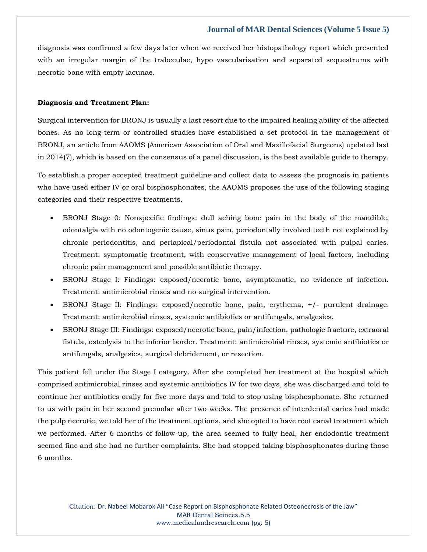diagnosis was confirmed a few days later when we received her histopathology report which presented with an irregular margin of the trabeculae, hypo vascularisation and separated sequestrums with necrotic bone with empty lacunae.

#### **Diagnosis and Treatment Plan:**

Surgical intervention for BRONJ is usually a last resort due to the impaired healing ability of the affected bones. As no long-term or controlled studies have established a set protocol in the management of BRONJ, an article from AAOMS (American Association of Oral and Maxillofacial Surgeons) updated last in 2014(7), which is based on the consensus of a panel discussion, is the best available guide to therapy.

To establish a proper accepted treatment guideline and collect data to assess the prognosis in patients who have used either IV or oral bisphosphonates, the AAOMS proposes the use of the following staging categories and their respective treatments.

- BRONJ Stage 0: Nonspecific findings: dull aching bone pain in the body of the mandible, odontalgia with no odontogenic cause, sinus pain, periodontally involved teeth not explained by chronic periodontitis, and periapical/periodontal fistula not associated with pulpal caries. Treatment: symptomatic treatment, with conservative management of local factors, including chronic pain management and possible antibiotic therapy.
- BRONJ Stage I: Findings: exposed/necrotic bone, asymptomatic, no evidence of infection. Treatment: antimicrobial rinses and no surgical intervention.
- BRONJ Stage II: Findings: exposed/necrotic bone, pain, erythema, +/- purulent drainage. Treatment: antimicrobial rinses, systemic antibiotics or antifungals, analgesics.
- BRONJ Stage III: Findings: exposed/necrotic bone, pain/infection, pathologic fracture, extraoral fistula, osteolysis to the inferior border. Treatment: antimicrobial rinses, systemic antibiotics or antifungals, analgesics, surgical debridement, or resection.

This patient fell under the Stage I category. After she completed her treatment at the hospital which comprised antimicrobial rinses and systemic antibiotics IV for two days, she was discharged and told to continue her antibiotics orally for five more days and told to stop using bisphosphonate. She returned to us with pain in her second premolar after two weeks. The presence of interdental caries had made the pulp necrotic, we told her of the treatment options, and she opted to have root canal treatment which we performed. After 6 months of follow-up, the area seemed to fully heal, her endodontic treatment seemed fine and she had no further complaints. She had stopped taking bisphosphonates during those 6 months.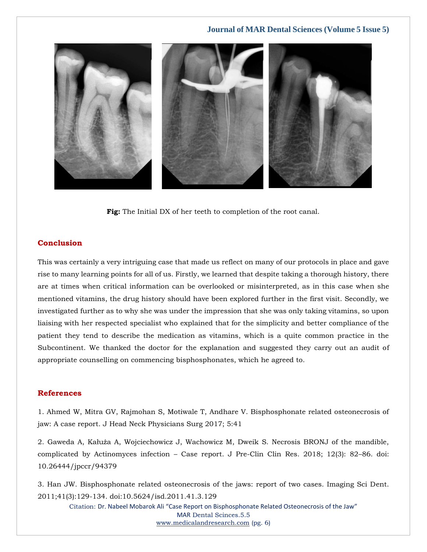

**Fig:** The Initial DX of her teeth to completion of the root canal.

## **Conclusion**

This was certainly a very intriguing case that made us reflect on many of our protocols in place and gave rise to many learning points for all of us. Firstly, we learned that despite taking a thorough history, there are at times when critical information can be overlooked or misinterpreted, as in this case when she mentioned vitamins, the drug history should have been explored further in the first visit. Secondly, we investigated further as to why she was under the impression that she was only taking vitamins, so upon liaising with her respected specialist who explained that for the simplicity and better compliance of the patient they tend to describe the medication as vitamins, which is a quite common practice in the Subcontinent. We thanked the doctor for the explanation and suggested they carry out an audit of appropriate counselling on commencing bisphosphonates, which he agreed to.

#### **References**

[1. Ahmed W, Mitra GV, Rajmohan S, Motiwale T, Andhare V. Bisphosphonate related osteonecrosis of](https://www.google.com/search?q=Bisphosphonate+related+osteonecrosis+of+jaw%3A+A+case+report.+&sxsrf=ALiCzsbBYL10LJcnaiINdutpy6FA91ITvA%3A1653979744075&ei=YLqVYoiHBNLc4-EPoKi44As&ved=0ahUKEwiIt_HYkon4AhVS7jgGHSAUDrwQ4dUDCA4&uact=5&oq=Bisphosphonate+related+osteonecrosis+of+jaw%3A+A+case+report.+&gs_lcp=Cgdnd3Mtd2l6EAMyBwgjEOoCECcyBwgjEOoCECcyBwgjEOoCECcyBwgjEOoCECcyBwgjEOoCECcyBwgjEOoCECcyBwgjEOoCECcyBwgjEOoCECcyBwgjEOoCECcyBwgjEOoCECdKBAhBGABKBAhGGABQngtYngtgpwtoAXABeACAAQCIAQCSAQCYAQCgAQGgAQKwAQrAAQE&sclient=gws-wiz)  [jaw: A case report. J Head Neck Physicians Surg 2017; 5:41](https://www.google.com/search?q=Bisphosphonate+related+osteonecrosis+of+jaw%3A+A+case+report.+&sxsrf=ALiCzsbBYL10LJcnaiINdutpy6FA91ITvA%3A1653979744075&ei=YLqVYoiHBNLc4-EPoKi44As&ved=0ahUKEwiIt_HYkon4AhVS7jgGHSAUDrwQ4dUDCA4&uact=5&oq=Bisphosphonate+related+osteonecrosis+of+jaw%3A+A+case+report.+&gs_lcp=Cgdnd3Mtd2l6EAMyBwgjEOoCECcyBwgjEOoCECcyBwgjEOoCECcyBwgjEOoCECcyBwgjEOoCECcyBwgjEOoCECcyBwgjEOoCECcyBwgjEOoCECcyBwgjEOoCECcyBwgjEOoCECdKBAhBGABKBAhGGABQngtYngtgpwtoAXABeACAAQCIAQCSAQCYAQCgAQGgAQKwAQrAAQE&sclient=gws-wiz)

[2. Gaweda A, Kałuża A, Wojciechowicz J, Wachowicz M, Dweik S. Necrosis BRONJ of the mandible,](https://www.google.com/search?q=Necrosis+BRONJ+of+the+mandible%2C+complicated+by+Actinomyces+infection+%E2%80%93+Case+report&sxsrf=ALiCzsbfuZkzaliU49yj5dqAwRoKssEfeg%3A1653987806952&ei=3tmVYoPmOfbo4-EP3fi90AQ&ved=0ahUKEwiDzcjdsIn4AhV29DgGHV18D0oQ4dUDCA4&oq=Necrosis+BRONJ+of+the+mandible%2C+complicated+by+Actinomyces+infection+%E2%80%93+Case+report&gs_lcp=Cgdnd3Mtd2l6EAwyBwgjEOoCECcyBwgjEOoCECcyBwgjEOoCECcyBwgjEOoCECcyBwgjEOoCECcyBwgjEOoCECcyBwgjEOoCECcyBwgjEOoCECcyBwgjEOoCECcyBwgjEOoCECdKBAhBGABKBAhGGABQpQNYpQNg8AZoAXAAeACAAQCIAQCSAQCYAQCgAQGgAQKwAQrAAQE&sclient=gws-wiz)  complicated by Actinomyces infection – [Case report. J Pre-Clin Clin Res. 2018; 12\(3\): 82](https://www.google.com/search?q=Necrosis+BRONJ+of+the+mandible%2C+complicated+by+Actinomyces+infection+%E2%80%93+Case+report&sxsrf=ALiCzsbfuZkzaliU49yj5dqAwRoKssEfeg%3A1653987806952&ei=3tmVYoPmOfbo4-EP3fi90AQ&ved=0ahUKEwiDzcjdsIn4AhV29DgGHV18D0oQ4dUDCA4&oq=Necrosis+BRONJ+of+the+mandible%2C+complicated+by+Actinomyces+infection+%E2%80%93+Case+report&gs_lcp=Cgdnd3Mtd2l6EAwyBwgjEOoCECcyBwgjEOoCECcyBwgjEOoCECcyBwgjEOoCECcyBwgjEOoCECcyBwgjEOoCECcyBwgjEOoCECcyBwgjEOoCECcyBwgjEOoCECcyBwgjEOoCECdKBAhBGABKBAhGGABQpQNYpQNg8AZoAXAAeACAAQCIAQCSAQCYAQCgAQGgAQKwAQrAAQE&sclient=gws-wiz)–86. doi: [10.26444/jpccr/94379](https://www.google.com/search?q=Necrosis+BRONJ+of+the+mandible%2C+complicated+by+Actinomyces+infection+%E2%80%93+Case+report&sxsrf=ALiCzsbfuZkzaliU49yj5dqAwRoKssEfeg%3A1653987806952&ei=3tmVYoPmOfbo4-EP3fi90AQ&ved=0ahUKEwiDzcjdsIn4AhV29DgGHV18D0oQ4dUDCA4&oq=Necrosis+BRONJ+of+the+mandible%2C+complicated+by+Actinomyces+infection+%E2%80%93+Case+report&gs_lcp=Cgdnd3Mtd2l6EAwyBwgjEOoCECcyBwgjEOoCECcyBwgjEOoCECcyBwgjEOoCECcyBwgjEOoCECcyBwgjEOoCECcyBwgjEOoCECcyBwgjEOoCECcyBwgjEOoCECcyBwgjEOoCECdKBAhBGABKBAhGGABQpQNYpQNg8AZoAXAAeACAAQCIAQCSAQCYAQCgAQGgAQKwAQrAAQE&sclient=gws-wiz)

[3. Han JW. Bisphosphonate related osteonecrosis of the jaws: report of two cases. Imaging Sci Dent.](https://www.google.com/search?q=Bisphosphonate+related+osteonecrosis+of+the+jaws%3A+report+of+two+cases&sxsrf=ALiCzsaYvzoszZcDJV02zu-hG2POR5ejGw%3A1653987822354&ei=7tmVYoOkFezx4-EP45eyoAI&ved=0ahUKEwiD0_TksIn4AhXs-DgGHeOLDCQQ4dUDCA4&oq=Bisphosphonate+related+osteonecrosis+of+the+jaws%3A+report+of+two+cases&gs_lcp=Cgdnd3Mtd2l6EAw6BwgjEOoCECdKBAhBGABKBAhGGABQ_wJY_wJgwQVoAXAAeACAAZ8BiAGfAZIBAzAuMZgBAKABAaABArABCsABAQ&sclient=gws-wiz)  [2011;41\(3\):129-134. doi:10.5624/isd.2011.41.3.129](https://www.google.com/search?q=Bisphosphonate+related+osteonecrosis+of+the+jaws%3A+report+of+two+cases&sxsrf=ALiCzsaYvzoszZcDJV02zu-hG2POR5ejGw%3A1653987822354&ei=7tmVYoOkFezx4-EP45eyoAI&ved=0ahUKEwiD0_TksIn4AhXs-DgGHeOLDCQQ4dUDCA4&oq=Bisphosphonate+related+osteonecrosis+of+the+jaws%3A+report+of+two+cases&gs_lcp=Cgdnd3Mtd2l6EAw6BwgjEOoCECdKBAhBGABKBAhGGABQ_wJY_wJgwQVoAXAAeACAAZ8BiAGfAZIBAzAuMZgBAKABAaABArABCsABAQ&sclient=gws-wiz)

Citation: Dr. Nabeel Mobarok Ali "Case Report on Bisphosphonate Related Osteonecrosis of the Jaw" MAR Dental Scinces.5.5 [www.medicalandresearch.com](http://www.medicalandresearch.com/) (pg. 6)